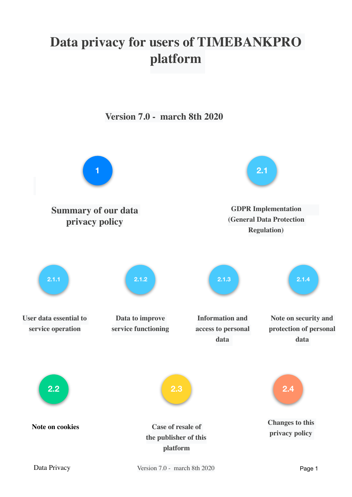# **Data privacy for users of TIMEBANKPRO platform**

**Version 7.0 - march 8th 2020**

**[1](#page-1-0) [Summary of our data](#page-1-0)  [privacy policy](#page-1-0) [GDPR Implementation](#page-2-0)  [\(General Data Protection](#page-2-0)  [Regulation\)](#page-2-0) [2.1](#page-2-0) [User data essential to](#page-3-0)  [service operation](#page-3-0) [2.1.1](#page-3-0) [Data to improve](#page-5-0)  [service functioning](#page-5-0) [2.1.2](#page-5-0) [2.1.3](#page-7-0) [2.1.4](#page-8-0) [Information and](#page-7-0)  [access to personal](#page-7-0)  [data](#page-7-0)  [Note on security and](#page-8-0)  [protection of personal](#page-8-0)  [data](#page-8-0)  [2.2](#page-9-1) [Note on cookies](#page-9-1) [Case of resale of](#page-9-0)  [the publisher of this](#page-9-0)  [platform](#page-9-0) [2.3](#page-9-0) [2.4](#page-10-0) [Changes to this](#page-10-0)  [privacy policy](#page-10-0)**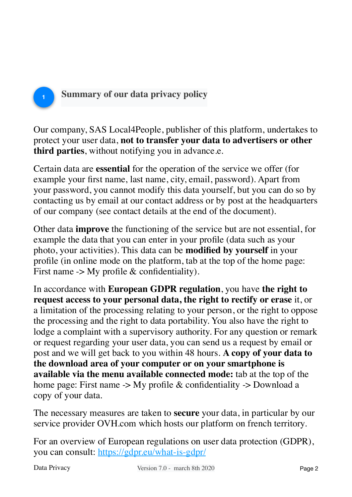## <span id="page-1-0"></span>**Summary of our data privacy policy**

Our company, SAS Local4People, publisher of this platform, undertakes to protect your user data, **not to transfer your data to advertisers or other third parties**, without notifying you in advance.e.

Certain data are **essential** for the operation of the service we offer (for example your first name, last name, city, email, password). Apart from your password, you cannot modify this data yourself, but you can do so by contacting us by email at our contact address or by post at the headquarters of our company (see contact details at the end of the document).

Other data **improve** the functioning of the service but are not essential, for example the data that you can enter in your profile (data such as your photo, your activities). This data can be **modified by yourself** in your profile (in online mode on the platform, tab at the top of the home page: First name  $\rightarrow$  My profile & confidentiality).

In accordance with **European GDPR regulation**, you have **the right to request access to your personal data, the right to rectify or erase** it, or a limitation of the processing relating to your person, or the right to oppose the processing and the right to data portability. You also have the right to lodge a complaint with a supervisory authority. For any question or remark or request regarding your user data, you can send us a request by email or post and we will get back to you within 48 hours. **A copy of your data to the download area of your computer or on your smartphone is available via the menu available connected mode:** tab at the top of the home page: First name -> My profile & confidentiality -> Download a copy of your data.

The necessary measures are taken to **secure** your data, in particular by our service provider OVH.com which hosts our platform on french territory.

For an overview of European regulations on user data protection (GDPR), you can consult: <https://gdpr.eu/what-is-gdpr/>

**1**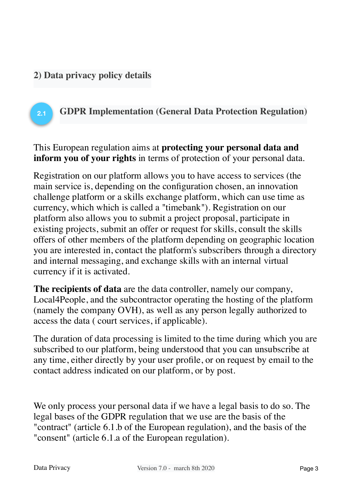#### **2) Data privacy policy details**

#### <span id="page-2-0"></span>**GDPR Implementation (General Data Protection Regulation) 2.1**

This European regulation aims at **protecting your personal data and inform you of your rights** in terms of protection of your personal data.

Registration on our platform allows you to have access to services (the main service is, depending on the configuration chosen, an innovation challenge platform or a skills exchange platform, which can use time as currency, which which is called a "timebank"). Registration on our platform also allows you to submit a project proposal, participate in existing projects, submit an offer or request for skills, consult the skills offers of other members of the platform depending on geographic location you are interested in, contact the platform's subscribers through a directory and internal messaging, and exchange skills with an internal virtual currency if it is activated.

**The recipients of data** are the data controller, namely our company, Local4People, and the subcontractor operating the hosting of the platform (namely the company OVH), as well as any person legally authorized to access the data ( court services, if applicable).

The duration of data processing is limited to the time during which you are subscribed to our platform, being understood that you can unsubscribe at any time, either directly by your user profile, or on request by email to the contact address indicated on our platform, or by post.

We only process your personal data if we have a legal basis to do so. The legal bases of the GDPR regulation that we use are the basis of the "contract" (article 6.1.b of the European regulation), and the basis of the "consent" (article 6.1.a of the European regulation).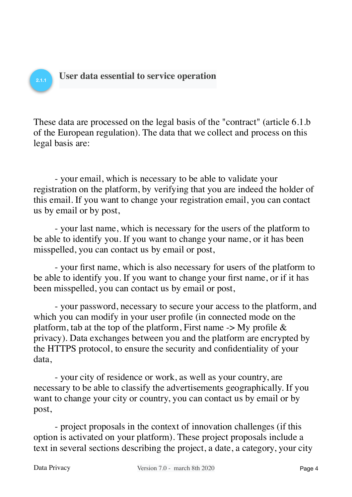### <span id="page-3-0"></span>**User data essential to service operation**

These data are processed on the legal basis of the "contract" (article 6.1.b of the European regulation). The data that we collect and process on this legal basis are:

- your email, which is necessary to be able to validate your registration on the platform, by verifying that you are indeed the holder of this email. If you want to change your registration email, you can contact us by email or by post,

- your last name, which is necessary for the users of the platform to be able to identify you. If you want to change your name, or it has been misspelled, you can contact us by email or post,

- your first name, which is also necessary for users of the platform to be able to identify you. If you want to change your first name, or if it has been misspelled, you can contact us by email or post,

- your password, necessary to secure your access to the platform, and which you can modify in your user profile (in connected mode on the platform, tab at the top of the platform, First name  $\rightarrow$  My profile  $\&$ privacy). Data exchanges between you and the platform are encrypted by the HTTPS protocol, to ensure the security and confidentiality of your data,

- your city of residence or work, as well as your country, are necessary to be able to classify the advertisements geographically. If you want to change your city or country, you can contact us by email or by post,

- project proposals in the context of innovation challenges (if this option is activated on your platform). These project proposals include a text in several sections describing the project, a date, a category, your city

**2.1.1**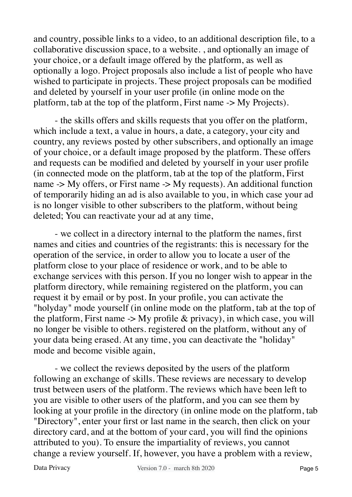and country, possible links to a video, to an additional description file, to a collaborative discussion space, to a website. , and optionally an image of your choice, or a default image offered by the platform, as well as optionally a logo. Project proposals also include a list of people who have wished to participate in projects. These project proposals can be modified and deleted by yourself in your user profile (in online mode on the platform, tab at the top of the platform, First name -> My Projects).

- the skills offers and skills requests that you offer on the platform, which include a text, a value in hours, a date, a category, your city and country, any reviews posted by other subscribers, and optionally an image of your choice, or a default image proposed by the platform. These offers and requests can be modified and deleted by yourself in your user profile (in connected mode on the platform, tab at the top of the platform, First name  $\rightarrow$  My offers, or First name  $\rightarrow$  My requests). An additional function of temporarily hiding an ad is also available to you, in which case your ad is no longer visible to other subscribers to the platform, without being deleted; You can reactivate your ad at any time,

- we collect in a directory internal to the platform the names, first names and cities and countries of the registrants: this is necessary for the operation of the service, in order to allow you to locate a user of the platform close to your place of residence or work, and to be able to exchange services with this person. If you no longer wish to appear in the platform directory, while remaining registered on the platform, you can request it by email or by post. In your profile, you can activate the "holyday" mode yourself (in online mode on the platform, tab at the top of the platform, First name  $\rightarrow$  My profile & privacy), in which case, you will no longer be visible to others. registered on the platform, without any of your data being erased. At any time, you can deactivate the "holiday" mode and become visible again,

- we collect the reviews deposited by the users of the platform following an exchange of skills. These reviews are necessary to develop trust between users of the platform. The reviews which have been left to you are visible to other users of the platform, and you can see them by looking at your profile in the directory (in online mode on the platform, tab "Directory", enter your first or last name in the search, then click on your directory card, and at the bottom of your card, you will find the opinions attributed to you). To ensure the impartiality of reviews, you cannot change a review yourself. If, however, you have a problem with a review,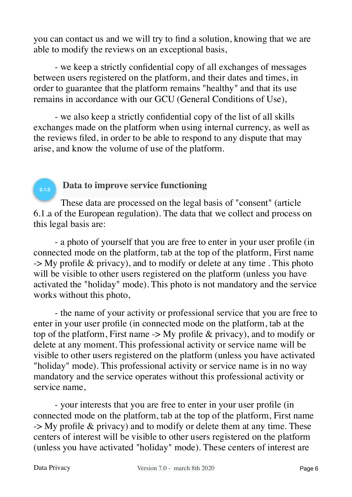you can contact us and we will try to find a solution, knowing that we are able to modify the reviews on an exceptional basis,

- we keep a strictly confidential copy of all exchanges of messages between users registered on the platform, and their dates and times, in order to guarantee that the platform remains "healthy" and that its use remains in accordance with our GCU (General Conditions of Use),

- we also keep a strictly confidential copy of the list of all skills exchanges made on the platform when using internal currency, as well as the reviews filed, in order to be able to respond to any dispute that may arise, and know the volume of use of the platform.

#### <span id="page-5-0"></span>**Data to improve service functioning**

These data are processed on the legal basis of "consent" (article 6.1.a of the European regulation). The data that we collect and process on this legal basis are:

- a photo of yourself that you are free to enter in your user profile (in connected mode on the platform, tab at the top of the platform, First name  $\rightarrow$  My profile & privacy), and to modify or delete at any time. This photo will be visible to other users registered on the platform (unless you have activated the "holiday" mode). This photo is not mandatory and the service works without this photo,

- the name of your activity or professional service that you are free to enter in your user profile (in connected mode on the platform, tab at the top of the platform, First name  $\rightarrow$  My profile & privacy), and to modify or delete at any moment. This professional activity or service name will be visible to other users registered on the platform (unless you have activated "holiday" mode). This professional activity or service name is in no way mandatory and the service operates without this professional activity or service name,

- your interests that you are free to enter in your user profile (in connected mode on the platform, tab at the top of the platform, First name  $\rightarrow$  My profile & privacy) and to modify or delete them at any time. These centers of interest will be visible to other users registered on the platform (unless you have activated "holiday" mode). These centers of interest are

**2.1.2**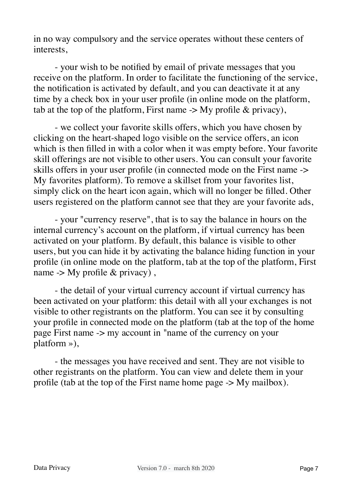in no way compulsory and the service operates without these centers of interests,

- your wish to be notified by email of private messages that you receive on the platform. In order to facilitate the functioning of the service, the notification is activated by default, and you can deactivate it at any time by a check box in your user profile (in online mode on the platform, tab at the top of the platform, First name  $\rightarrow$  My profile & privacy),

- we collect your favorite skills offers, which you have chosen by clicking on the heart-shaped logo visible on the service offers, an icon which is then filled in with a color when it was empty before. Your favorite skill offerings are not visible to other users. You can consult your favorite skills offers in your user profile (in connected mode on the First name -> My favorites platform). To remove a skillset from your favorites list, simply click on the heart icon again, which will no longer be filled. Other users registered on the platform cannot see that they are your favorite ads,

- your "currency reserve", that is to say the balance in hours on the internal currency's account on the platform, if virtual currency has been activated on your platform. By default, this balance is visible to other users, but you can hide it by activating the balance hiding function in your profile (in online mode on the platform, tab at the top of the platform, First name  $\rightarrow$  My profile & privacy),

- the detail of your virtual currency account if virtual currency has been activated on your platform: this detail with all your exchanges is not visible to other registrants on the platform. You can see it by consulting your profile in connected mode on the platform (tab at the top of the home page First name -> my account in "name of the currency on your platform »),

- the messages you have received and sent. They are not visible to other registrants on the platform. You can view and delete them in your profile (tab at the top of the First name home page -> My mailbox).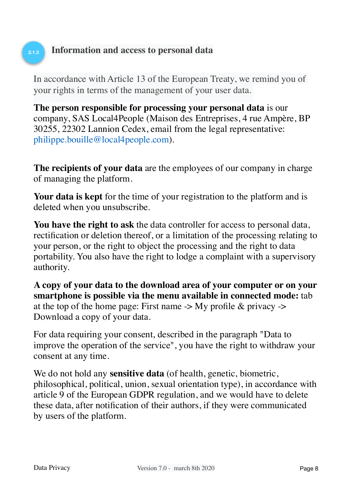#### <span id="page-7-0"></span>**Information and access to personal data**

**2.1.3**

In accordance with Article 13 of the European Treaty, we remind you of your rights in terms of the management of your user data.

**The person responsible for processing your personal data** is our company, SAS Local4People (Maison des Entreprises, 4 rue Ampère, BP 30255, 22302 Lannion Cedex, email from the legal representative: [philippe.bouille@local4people.com\)](mailto:no_reply@apple.com).

**The recipients of your data** are the employees of our company in charge of managing the platform.

**Your data is kept** for the time of your registration to the platform and is deleted when you unsubscribe.

**You have the right to ask** the data controller for access to personal data, rectification or deletion thereof, or a limitation of the processing relating to your person, or the right to object the processing and the right to data portability. You also have the right to lodge a complaint with a supervisory authority.

**A copy of your data to the download area of your computer or on your smartphone is possible via the menu available in connected mode:** tab at the top of the home page: First name  $\rightarrow$  My profile & privacy  $\rightarrow$ Download a copy of your data.

For data requiring your consent, described in the paragraph "Data to improve the operation of the service", you have the right to withdraw your consent at any time.

We do not hold any **sensitive data** (of health, genetic, biometric, philosophical, political, union, sexual orientation type), in accordance with article 9 of the European GDPR regulation, and we would have to delete these data, after notification of their authors, if they were communicated by users of the platform.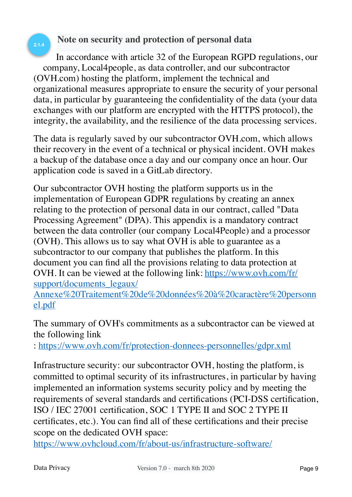#### <span id="page-8-0"></span>**Note on security and protection of personal data**

In accordance with article 32 of the European RGPD regulations, our company, Local4people, as data controller, and our subcontractor (OVH.com) hosting the platform, implement the technical and organizational measures appropriate to ensure the security of your personal data, in particular by guaranteeing the confidentiality of the data (your data exchanges with our platform are encrypted with the HTTPS protocol), the integrity, the availability, and the resilience of the data processing services.

The data is regularly saved by our subcontractor OVH.com, which allows their recovery in the event of a technical or physical incident. OVH makes a backup of the database once a day and our company once an hour. Our application code is saved in a GitLab directory.

Our subcontractor OVH hosting the platform supports us in the implementation of European GDPR regulations by creating an annex relating to the protection of personal data in our contract, called "Data Processing Agreement" (DPA). This appendix is a mandatory contract between the data controller (our company Local4People) and a processor (OVH). This allows us to say what OVH is able to guarantee as a subcontractor to our company that publishes the platform. In this document you can find all the provisions relating to data protection at OVH. It can be viewed at the following link: [https://www.ovh.com/fr/](https://www.ovh.com/fr/support/documents_legaux/Annexe%20Traitement%20de%20donn%C3%A9es%20%C3%A0%20caract%C3%A8re%20personnel.pdf) support/documents legaux/

[Annexe%20Traitement%20de%20données%20à%20caractère%20personn](https://www.ovh.com/fr/support/documents_legaux/Annexe%20Traitement%20de%20donn%C3%A9es%20%C3%A0%20caract%C3%A8re%20personnel.pdf) [el.pdf](https://www.ovh.com/fr/support/documents_legaux/Annexe%20Traitement%20de%20donn%C3%A9es%20%C3%A0%20caract%C3%A8re%20personnel.pdf)

The summary of OVH's commitments as a subcontractor can be viewed at the following link

:<https://www.ovh.com/fr/protection-donnees-personnelles/gdpr.xml>

Infrastructure security: our subcontractor OVH, hosting the platform, is committed to optimal security of its infrastructures, in particular by having implemented an information systems security policy and by meeting the requirements of several standards and certifications (PCI-DSS certification, ISO / IEC 27001 certification, SOC 1 TYPE II and SOC 2 TYPE II certificates, etc.). You can find all of these certifications and their precise scope on the dedicated OVH space:

<https://www.ovhcloud.com/fr/about-us/infrastructure-software/>

**2.1.4**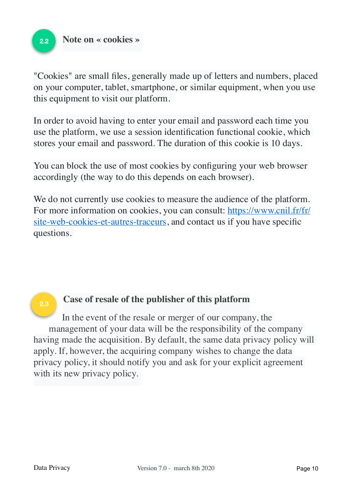<span id="page-9-1"></span>

"Cookies" are small files, generally made up of letters and numbers, placed on your computer, tablet, smartphone, or similar equipment, when you use this equipment to visit our platform.

In order to avoid having to enter your email and password each time you use the platform, we use a session identification functional cookie, which stores your email and password. The duration of this cookie is 10 days.

You can block the use of most cookies by configuring your web browser accordingly (the way to do this depends on each browser).

We do not currently use cookies to measure the audience of the platform. For more information on cookies, you can consult: [https://www.cnil.fr/fr/](https://www.cnil.fr/fr/site-web-cookies-et-autres-traceurs) [site-web-cookies-et-autres-traceurs](https://www.cnil.fr/fr/site-web-cookies-et-autres-traceurs), and contact us if you have specific questions.

#### **2.3**

#### <span id="page-9-0"></span>**Case of resale of the publisher of this platform**

In the event of the resale or merger of our company, the management of your data will be the responsibility of the company having made the acquisition. By default, the same data privacy policy will apply. If, however, the acquiring company wishes to change the data privacy policy, it should notify you and ask for your explicit agreement with its new privacy policy.